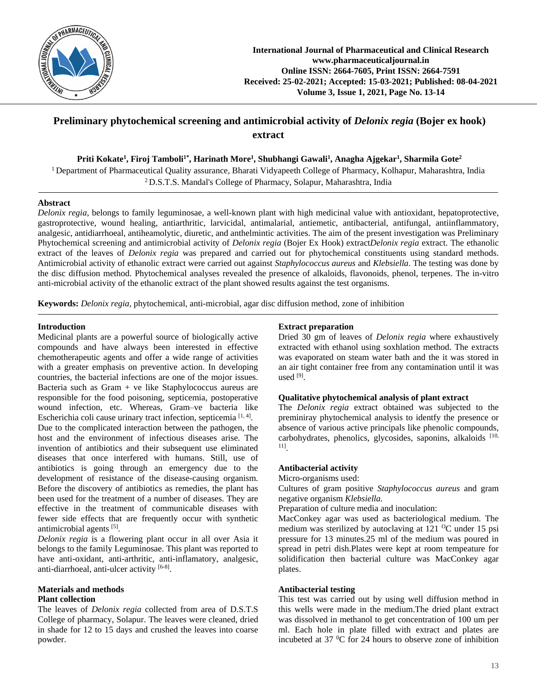

# **Preliminary phytochemical screening and antimicrobial activity of** *Delonix regia* **(Bojer ex hook) extract**

**Priti Kokate<sup>1</sup> , Firoj Tamboli1\* , Harinath More<sup>1</sup> , Shubhangi Gawali<sup>1</sup> , Anagha Ajgekar<sup>1</sup> , Sharmila Gote<sup>2</sup>**

<sup>1</sup> Department of Pharmaceutical Quality assurance, Bharati Vidyapeeth College of Pharmacy, Kolhapur, Maharashtra, India <sup>2</sup> D.S.T.S. Mandal's College of Pharmacy, Solapur, Maharashtra, India

# **Abstract**

*Delonix regia*, belongs to family leguminosae, a well-known plant with high medicinal value with antioxidant, hepatoprotective, gastroprotective, wound healing, antiarthritic, larvicidal, antimalarial, antiemetic, antibacterial, antifungal, antiinflammatory, analgesic, antidiarrhoeal, antiheamolytic, diuretic, and anthelmintic activities. The aim of the present investigation was Preliminary Phytochemical screening and antimicrobial activity of *Delonix regia* (Bojer Ex Hook) extract*Delonix regia* extract. The ethanolic extract of the leaves of *Delonix regia* was prepared and carried out for phytochemical constituents using standard methods. Antimicrobial activity of ethanolic extract were carried out against *Staphylococcus aureus* and *Klebsiella*. The testing was done by the disc diffusion method. Phytochemical analyses revealed the presence of alkaloids, flavonoids, phenol, terpenes. The in-vitro anti-microbial activity of the ethanolic extract of the plant showed results against the test organisms.

**Keywords:** *Delonix regia*, phytochemical, anti-microbial, agar disc diffusion method, zone of inhibition

# **Introduction**

Medicinal plants are a powerful source of biologically active compounds and have always been interested in effective chemotherapeutic agents and offer a wide range of activities with a greater emphasis on preventive action. In developing countries, the bacterial infections are one of the mojor issues. Bacteria such as Gram + ve like Staphylococcus aureus are responsible for the food poisoning, septicemia, postoperative wound infection, etc. Whereas, Gram–ve bacteria like Escherichia coli cause urinary tract infection, septicemia [1,4]. Due to the complicated interaction between the pathogen, the host and the environment of infectious diseases arise. The invention of antibiotics and their subsequent use eliminated diseases that once interfered with humans. Still, use of antibiotics is going through an emergency due to the development of resistance of the disease-causing organism. Before the discovery of antibiotics as remedies, the plant has been used for the treatment of a number of diseases. They are effective in the treatment of communicable diseases with fewer side effects that are frequently occur with synthetic antimicrobial agents [5].

*Delonix regia* is a flowering plant occur in all over Asia it belongs to the family Leguminosae. This plant was reported to have anti-oxidant, anti-arthritic, anti-inflamatory, analgesic, anti-diarrhoeal, anti-ulcer activity [6-8].

# **Materials and methods Plant collection**

The leaves of *Delonix regia* collected from area of D.S.T.S College of pharmacy, Solapur. The leaves were cleaned, dried in shade for 12 to 15 days and crushed the leaves into coarse powder.

# **Extract preparation**

Dried 30 gm of leaves of *Delonix regia* where exhaustively extracted with ethanol using soxhlation method. The extracts was evaporated on steam water bath and the it was stored in an air tight container free from any contamination until it was used [9] .

### **Qualitative phytochemical analysis of plant extract**

The *Delonix regia* extract obtained was subjected to the preminiray phytochemical analysis to identfy the presence or absence of various active principals like phenolic compounds, carbohydrates, phenolics, glycosides, saponins, alkaloids [10, 11] .

### **Antibacterial activity**

# Micro-organisms used:

Cultures of gram positive *Staphylococcus aureus* and gram negative organism *Klebsiella.*

Preparation of culture media and inoculation:

MacConkey agar was used as bacteriological medium. The medium was sterilized by autoclaving at  $121 \, \text{°C}$  under 15 psi pressure for 13 minutes.25 ml of the medium was poured in spread in petri dish.Plates were kept at room tempeature for solidification then bacterial culture was MacConkey agar plates.

### **Antibacterial testing**

This test was carried out by using well diffusion method in this wells were made in the medium.The dried plant extract was dissolved in methanol to get concentration of 100 um per ml. Each hole in plate filled with extract and plates are incubeted at  $37 \text{ °C}$  for 24 hours to observe zone of inhibition